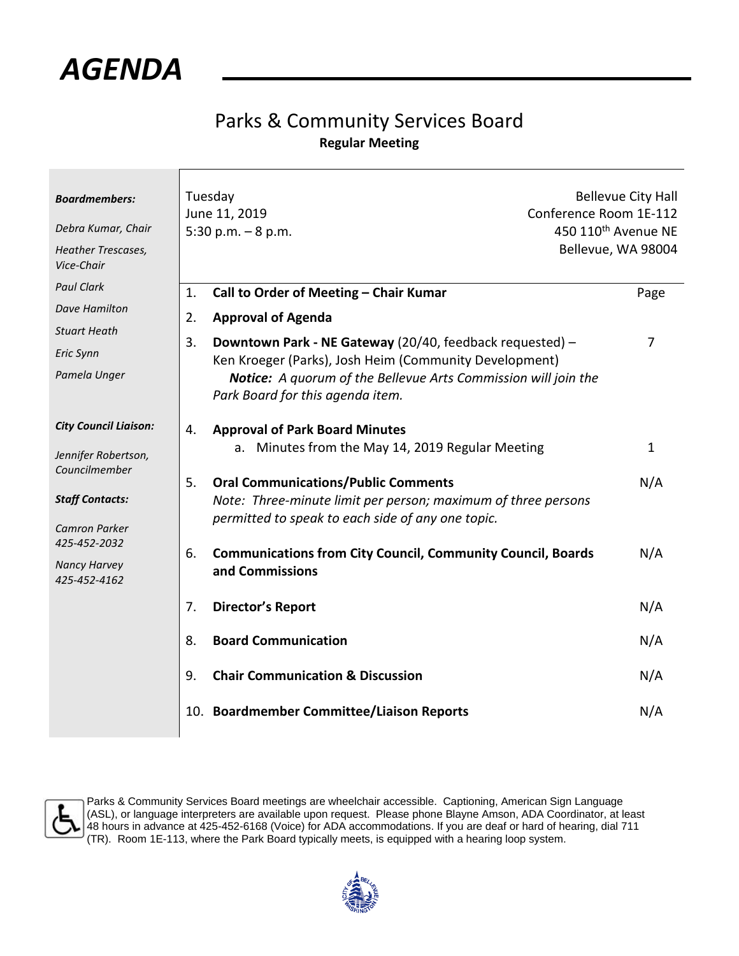

## Parks & Community Services Board **Regular Meeting**

| <b>Boardmembers:</b><br>Debra Kumar, Chair<br><b>Heather Trescases,</b><br>Vice-Chair |    | Tuesday<br>June 11, 2019<br>5:30 p.m. $-8$ p.m.                                                                    | <b>Bellevue City Hall</b><br>Conference Room 1E-112<br>450 110 <sup>th</sup> Avenue NE<br>Bellevue, WA 98004 |                |
|---------------------------------------------------------------------------------------|----|--------------------------------------------------------------------------------------------------------------------|--------------------------------------------------------------------------------------------------------------|----------------|
| <b>Paul Clark</b><br>Dave Hamilton                                                    | 1. | Call to Order of Meeting - Chair Kumar                                                                             |                                                                                                              | Page           |
| <b>Stuart Heath</b>                                                                   | 2. | <b>Approval of Agenda</b>                                                                                          |                                                                                                              |                |
| Eric Synn                                                                             | 3. | Downtown Park - NE Gateway (20/40, feedback requested) -<br>Ken Kroeger (Parks), Josh Heim (Community Development) |                                                                                                              | $\overline{7}$ |
| Pamela Unger                                                                          |    | Notice: A quorum of the Bellevue Arts Commission will join the<br>Park Board for this agenda item.                 |                                                                                                              |                |
| <b>City Council Liaison:</b>                                                          | 4. | <b>Approval of Park Board Minutes</b>                                                                              |                                                                                                              |                |
| Jennifer Robertson,<br>Councilmember                                                  |    | a. Minutes from the May 14, 2019 Regular Meeting                                                                   |                                                                                                              | $\mathbf{1}$   |
|                                                                                       | 5. | <b>Oral Communications/Public Comments</b>                                                                         |                                                                                                              | N/A            |
| <b>Staff Contacts:</b><br><b>Camron Parker</b>                                        |    | Note: Three-minute limit per person; maximum of three persons<br>permitted to speak to each side of any one topic. |                                                                                                              |                |
| 425-452-2032                                                                          | 6. | <b>Communications from City Council, Community Council, Boards</b>                                                 |                                                                                                              | N/A            |
| <b>Nancy Harvey</b><br>425-452-4162                                                   |    | and Commissions                                                                                                    |                                                                                                              |                |
|                                                                                       | 7. | <b>Director's Report</b>                                                                                           |                                                                                                              | N/A            |
|                                                                                       | 8. | <b>Board Communication</b>                                                                                         |                                                                                                              | N/A            |
|                                                                                       | 9. | <b>Chair Communication &amp; Discussion</b>                                                                        |                                                                                                              | N/A            |
|                                                                                       |    | 10. Boardmember Committee/Liaison Reports                                                                          |                                                                                                              | N/A            |



Parks & Community Services Board meetings are wheelchair accessible. Captioning, American Sign Language (ASL), or language interpreters are available upon request. Please phone Blayne Amson, ADA Coordinator, at least 48 hours in advance at 425-452-6168 (Voice) for ADA accommodations. If you are deaf or hard of hearing, dial 711 (TR). Room 1E-113, where the Park Board typically meets, is equipped with a hearing loop system.